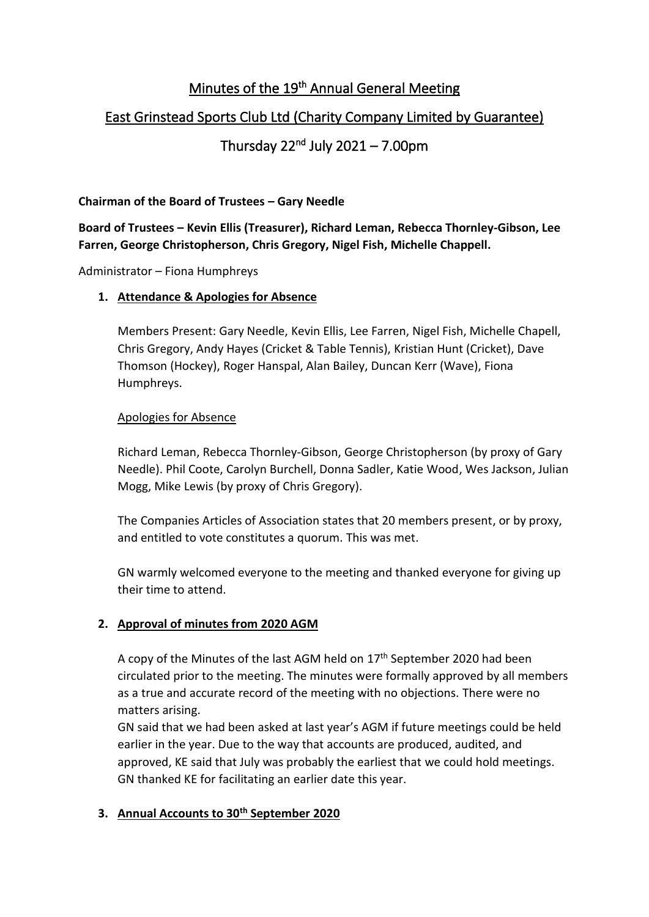# Minutes of the 19<sup>th</sup> Annual General Meeting

## East Grinstead Sports Club Ltd (Charity Company Limited by Guarantee)

# Thursday 22<sup>nd</sup> July 2021 – 7.00pm

### **Chairman of the Board of Trustees – Gary Needle**

**Board of Trustees – Kevin Ellis (Treasurer), Richard Leman, Rebecca Thornley-Gibson, Lee Farren, George Christopherson, Chris Gregory, Nigel Fish, Michelle Chappell.**

Administrator – Fiona Humphreys

#### **1. Attendance & Apologies for Absence**

Members Present: Gary Needle, Kevin Ellis, Lee Farren, Nigel Fish, Michelle Chapell, Chris Gregory, Andy Hayes (Cricket & Table Tennis), Kristian Hunt (Cricket), Dave Thomson (Hockey), Roger Hanspal, Alan Bailey, Duncan Kerr (Wave), Fiona Humphreys.

#### Apologies for Absence

Richard Leman, Rebecca Thornley-Gibson, George Christopherson (by proxy of Gary Needle). Phil Coote, Carolyn Burchell, Donna Sadler, Katie Wood, Wes Jackson, Julian Mogg, Mike Lewis (by proxy of Chris Gregory).

The Companies Articles of Association states that 20 members present, or by proxy, and entitled to vote constitutes a quorum. This was met.

GN warmly welcomed everyone to the meeting and thanked everyone for giving up their time to attend.

#### **2. Approval of minutes from 2020 AGM**

A copy of the Minutes of the last AGM held on 17<sup>th</sup> September 2020 had been circulated prior to the meeting. The minutes were formally approved by all members as a true and accurate record of the meeting with no objections. There were no matters arising.

GN said that we had been asked at last year's AGM if future meetings could be held earlier in the year. Due to the way that accounts are produced, audited, and approved, KE said that July was probably the earliest that we could hold meetings. GN thanked KE for facilitating an earlier date this year.

### **3. Annual Accounts to 30th September 2020**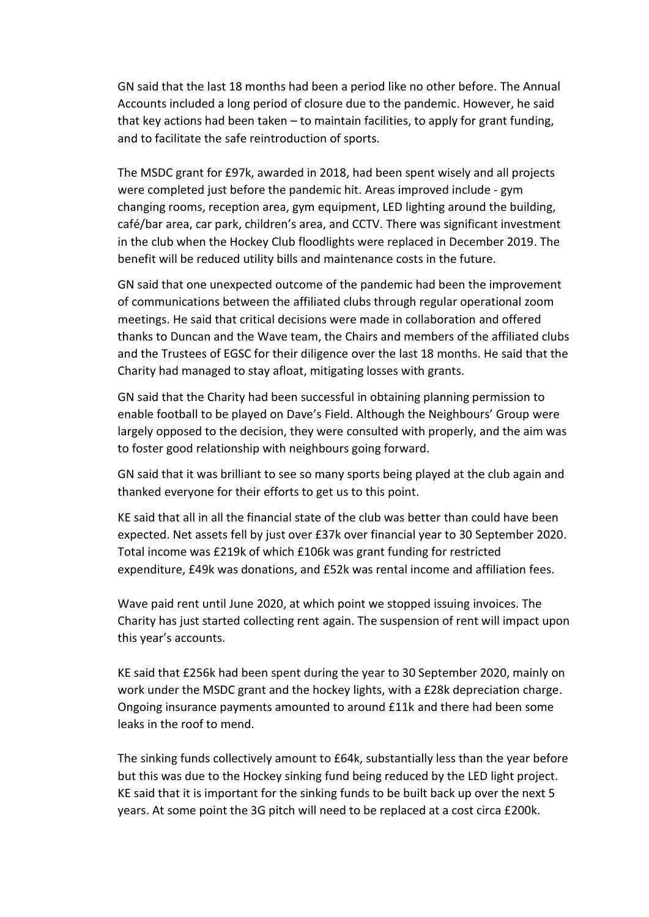GN said that the last 18 months had been a period like no other before. The Annual Accounts included a long period of closure due to the pandemic. However, he said that key actions had been taken – to maintain facilities, to apply for grant funding, and to facilitate the safe reintroduction of sports.

The MSDC grant for £97k, awarded in 2018, had been spent wisely and all projects were completed just before the pandemic hit. Areas improved include - gym changing rooms, reception area, gym equipment, LED lighting around the building, café/bar area, car park, children's area, and CCTV. There was significant investment in the club when the Hockey Club floodlights were replaced in December 2019. The benefit will be reduced utility bills and maintenance costs in the future.

GN said that one unexpected outcome of the pandemic had been the improvement of communications between the affiliated clubs through regular operational zoom meetings. He said that critical decisions were made in collaboration and offered thanks to Duncan and the Wave team, the Chairs and members of the affiliated clubs and the Trustees of EGSC for their diligence over the last 18 months. He said that the Charity had managed to stay afloat, mitigating losses with grants.

GN said that the Charity had been successful in obtaining planning permission to enable football to be played on Dave's Field. Although the Neighbours' Group were largely opposed to the decision, they were consulted with properly, and the aim was to foster good relationship with neighbours going forward.

GN said that it was brilliant to see so many sports being played at the club again and thanked everyone for their efforts to get us to this point.

KE said that all in all the financial state of the club was better than could have been expected. Net assets fell by just over £37k over financial year to 30 September 2020. Total income was £219k of which £106k was grant funding for restricted expenditure, £49k was donations, and £52k was rental income and affiliation fees.

Wave paid rent until June 2020, at which point we stopped issuing invoices. The Charity has just started collecting rent again. The suspension of rent will impact upon this year's accounts.

KE said that £256k had been spent during the year to 30 September 2020, mainly on work under the MSDC grant and the hockey lights, with a £28k depreciation charge. Ongoing insurance payments amounted to around £11k and there had been some leaks in the roof to mend.

The sinking funds collectively amount to £64k, substantially less than the year before but this was due to the Hockey sinking fund being reduced by the LED light project. KE said that it is important for the sinking funds to be built back up over the next 5 years. At some point the 3G pitch will need to be replaced at a cost circa £200k.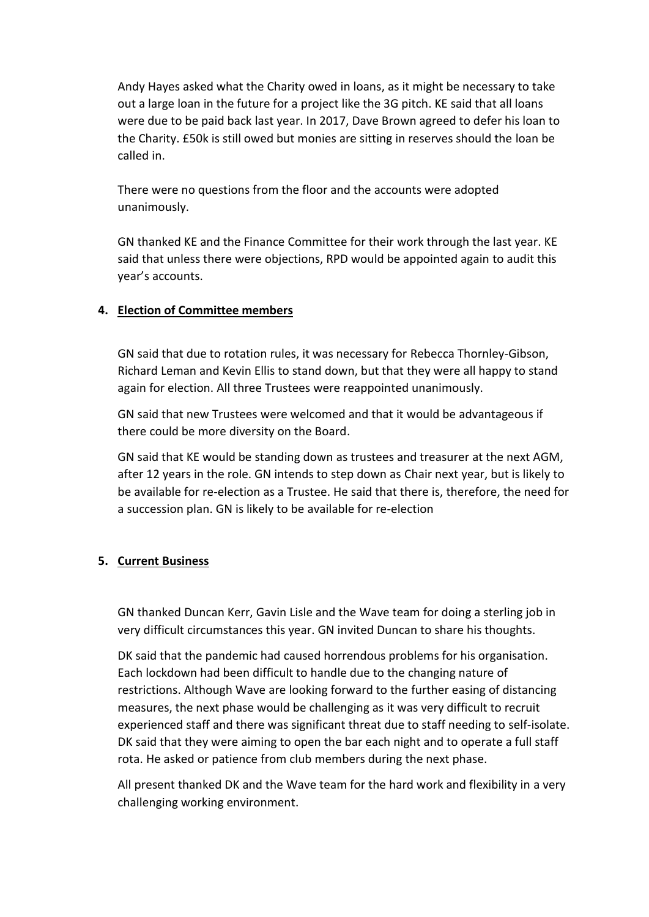Andy Hayes asked what the Charity owed in loans, as it might be necessary to take out a large loan in the future for a project like the 3G pitch. KE said that all loans were due to be paid back last year. In 2017, Dave Brown agreed to defer his loan to the Charity. £50k is still owed but monies are sitting in reserves should the loan be called in.

There were no questions from the floor and the accounts were adopted unanimously.

GN thanked KE and the Finance Committee for their work through the last year. KE said that unless there were objections, RPD would be appointed again to audit this year's accounts.

#### **4. Election of Committee members**

GN said that due to rotation rules, it was necessary for Rebecca Thornley-Gibson, Richard Leman and Kevin Ellis to stand down, but that they were all happy to stand again for election. All three Trustees were reappointed unanimously.

GN said that new Trustees were welcomed and that it would be advantageous if there could be more diversity on the Board.

GN said that KE would be standing down as trustees and treasurer at the next AGM, after 12 years in the role. GN intends to step down as Chair next year, but is likely to be available for re-election as a Trustee. He said that there is, therefore, the need for a succession plan. GN is likely to be available for re-election

#### **5. Current Business**

GN thanked Duncan Kerr, Gavin Lisle and the Wave team for doing a sterling job in very difficult circumstances this year. GN invited Duncan to share his thoughts.

DK said that the pandemic had caused horrendous problems for his organisation. Each lockdown had been difficult to handle due to the changing nature of restrictions. Although Wave are looking forward to the further easing of distancing measures, the next phase would be challenging as it was very difficult to recruit experienced staff and there was significant threat due to staff needing to self-isolate. DK said that they were aiming to open the bar each night and to operate a full staff rota. He asked or patience from club members during the next phase.

All present thanked DK and the Wave team for the hard work and flexibility in a very challenging working environment.